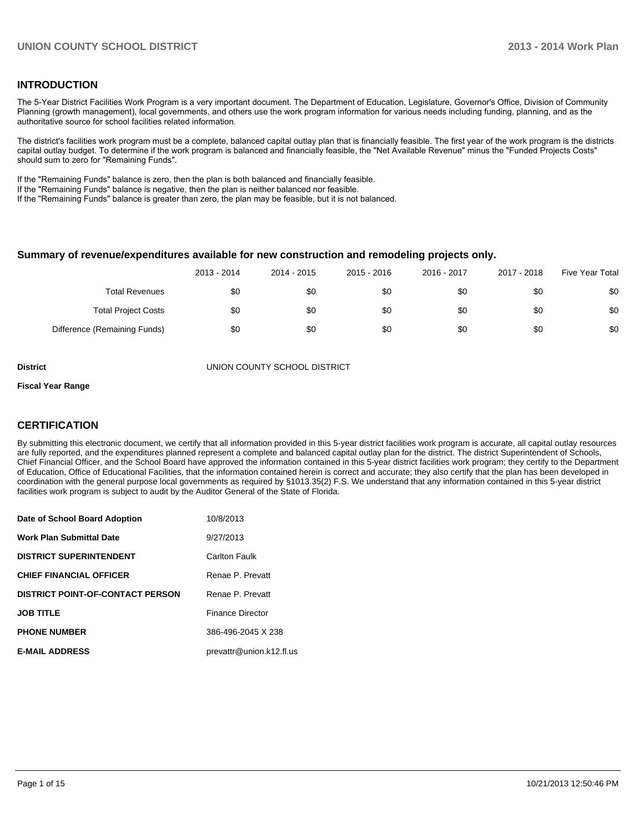#### **INTRODUCTION**

The 5-Year District Facilities Work Program is a very important document. The Department of Education, Legislature, Governor's Office, Division of Community Planning (growth management), local governments, and others use the work program information for various needs including funding, planning, and as the authoritative source for school facilities related information.

The district's facilities work program must be a complete, balanced capital outlay plan that is financially feasible. The first year of the work program is the districts capital outlay budget. To determine if the work program is balanced and financially feasible, the "Net Available Revenue" minus the "Funded Projects Costs" should sum to zero for "Remaining Funds".

If the "Remaining Funds" balance is zero, then the plan is both balanced and financially feasible.

If the "Remaining Funds" balance is negative, then the plan is neither balanced nor feasible.

If the "Remaining Funds" balance is greater than zero, the plan may be feasible, but it is not balanced.

#### **Summary of revenue/expenditures available for new construction and remodeling projects only.**

|                              | 2013 - 2014 | 2014 - 2015 | 2015 - 2016 | 2016 - 2017 | 2017 - 2018 | Five Year Total |
|------------------------------|-------------|-------------|-------------|-------------|-------------|-----------------|
| <b>Total Revenues</b>        | \$0         | \$0         | \$0         | \$0         | \$0         | \$0             |
| <b>Total Project Costs</b>   | \$0         | \$0         | \$0         | \$0         | \$0         | \$0             |
| Difference (Remaining Funds) | \$0         | \$0         | \$0         | \$0         | \$0         | \$0             |

**District** UNION COUNTY SCHOOL DISTRICT

#### **Fiscal Year Range**

#### **CERTIFICATION**

By submitting this electronic document, we certify that all information provided in this 5-year district facilities work program is accurate, all capital outlay resources are fully reported, and the expenditures planned represent a complete and balanced capital outlay plan for the district. The district Superintendent of Schools, Chief Financial Officer, and the School Board have approved the information contained in this 5-year district facilities work program; they certify to the Department of Education, Office of Educational Facilities, that the information contained herein is correct and accurate; they also certify that the plan has been developed in coordination with the general purpose local governments as required by §1013.35(2) F.S. We understand that any information contained in this 5-year district facilities work program is subject to audit by the Auditor General of the State of Florida.

| Date of School Board Adoption           | 10/8/2013                |
|-----------------------------------------|--------------------------|
| <b>Work Plan Submittal Date</b>         | 9/27/2013                |
| <b>DISTRICT SUPERINTENDENT</b>          | <b>Carlton Faulk</b>     |
| <b>CHIEF FINANCIAL OFFICER</b>          | Renae P. Prevatt         |
| <b>DISTRICT POINT-OF-CONTACT PERSON</b> | Renae P. Prevatt         |
| <b>JOB TITLE</b>                        | <b>Finance Director</b>  |
| <b>PHONE NUMBER</b>                     | 386-496-2045 X 238       |
| <b>E-MAIL ADDRESS</b>                   | prevattr@union.k12.fl.us |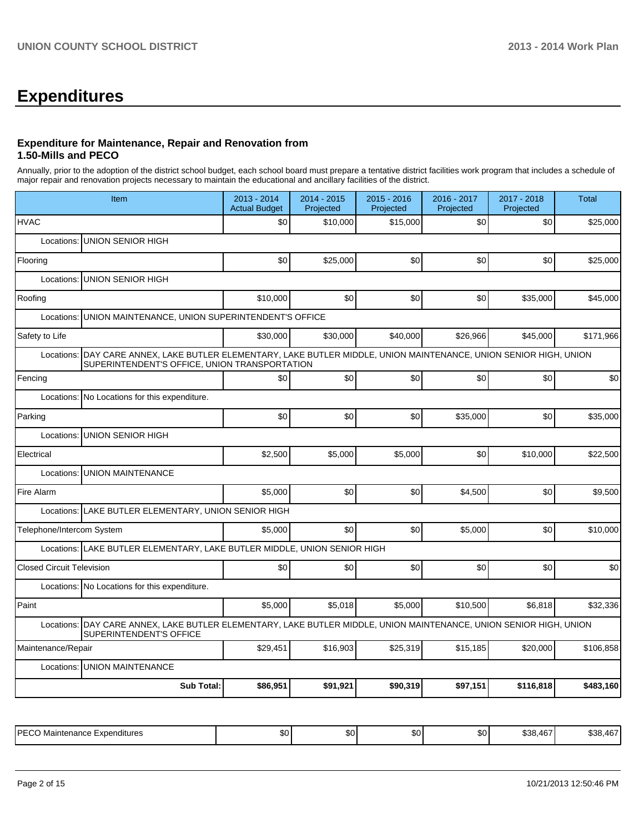# **Expenditures**

### **Expenditure for Maintenance, Repair and Renovation from 1.50-Mills and PECO**

Annually, prior to the adoption of the district school budget, each school board must prepare a tentative district facilities work program that includes a schedule of major repair and renovation projects necessary to maintain the educational and ancillary facilities of the district.

| \$0<br>\$0                                    | \$10,000<br>\$25,000                   | \$15,000                                                                                                                                       | \$0                                                                      | \$0       | \$25,000                                                                                                                                                                                                                      |  |  |  |  |  |  |  |  |
|-----------------------------------------------|----------------------------------------|------------------------------------------------------------------------------------------------------------------------------------------------|--------------------------------------------------------------------------|-----------|-------------------------------------------------------------------------------------------------------------------------------------------------------------------------------------------------------------------------------|--|--|--|--|--|--|--|--|
|                                               |                                        |                                                                                                                                                |                                                                          |           |                                                                                                                                                                                                                               |  |  |  |  |  |  |  |  |
|                                               |                                        |                                                                                                                                                | UNION SENIOR HIGH<br>Locations:                                          |           |                                                                                                                                                                                                                               |  |  |  |  |  |  |  |  |
|                                               |                                        | \$0                                                                                                                                            | \$0                                                                      | \$0       | \$25,000                                                                                                                                                                                                                      |  |  |  |  |  |  |  |  |
|                                               | Locations:<br><b>UNION SENIOR HIGH</b> |                                                                                                                                                |                                                                          |           |                                                                                                                                                                                                                               |  |  |  |  |  |  |  |  |
| \$10,000                                      | \$0                                    | \$0                                                                                                                                            | \$0                                                                      | \$35,000  | \$45,000                                                                                                                                                                                                                      |  |  |  |  |  |  |  |  |
|                                               |                                        |                                                                                                                                                |                                                                          |           |                                                                                                                                                                                                                               |  |  |  |  |  |  |  |  |
| \$30,000                                      | \$30,000                               | \$40,000                                                                                                                                       | \$26.966                                                                 | \$45,000  | \$171,966                                                                                                                                                                                                                     |  |  |  |  |  |  |  |  |
|                                               |                                        |                                                                                                                                                |                                                                          |           |                                                                                                                                                                                                                               |  |  |  |  |  |  |  |  |
| \$0                                           | \$0                                    | \$0                                                                                                                                            | \$0                                                                      | \$0       | \$0                                                                                                                                                                                                                           |  |  |  |  |  |  |  |  |
|                                               |                                        |                                                                                                                                                |                                                                          |           |                                                                                                                                                                                                                               |  |  |  |  |  |  |  |  |
| \$0                                           | \$0                                    | \$0                                                                                                                                            | \$35,000                                                                 | \$0       | \$35,000                                                                                                                                                                                                                      |  |  |  |  |  |  |  |  |
| Locations:<br><b>UNION SENIOR HIGH</b>        |                                        |                                                                                                                                                |                                                                          |           |                                                                                                                                                                                                                               |  |  |  |  |  |  |  |  |
| \$2,500                                       | \$5,000                                | \$5,000                                                                                                                                        | \$0                                                                      | \$10,000  | \$22,500                                                                                                                                                                                                                      |  |  |  |  |  |  |  |  |
| <b>UNION MAINTENANCE</b><br>Locations:        |                                        |                                                                                                                                                |                                                                          |           |                                                                                                                                                                                                                               |  |  |  |  |  |  |  |  |
| \$5,000                                       | \$0                                    | \$0                                                                                                                                            | \$4,500                                                                  | \$0       | \$9,500                                                                                                                                                                                                                       |  |  |  |  |  |  |  |  |
|                                               |                                        |                                                                                                                                                |                                                                          |           |                                                                                                                                                                                                                               |  |  |  |  |  |  |  |  |
| \$5.000                                       | \$0                                    | \$0                                                                                                                                            | \$5,000                                                                  | \$0       | \$10,000                                                                                                                                                                                                                      |  |  |  |  |  |  |  |  |
|                                               |                                        |                                                                                                                                                |                                                                          |           |                                                                                                                                                                                                                               |  |  |  |  |  |  |  |  |
| \$0                                           | \$0                                    | \$0                                                                                                                                            | \$0                                                                      | \$0       | \$0                                                                                                                                                                                                                           |  |  |  |  |  |  |  |  |
| Locations: No Locations for this expenditure. |                                        |                                                                                                                                                |                                                                          |           |                                                                                                                                                                                                                               |  |  |  |  |  |  |  |  |
| \$5,000                                       | \$5,018                                | \$5,000                                                                                                                                        | \$10,500                                                                 | \$6,818   | \$32,336                                                                                                                                                                                                                      |  |  |  |  |  |  |  |  |
|                                               |                                        |                                                                                                                                                |                                                                          |           |                                                                                                                                                                                                                               |  |  |  |  |  |  |  |  |
| \$29,451                                      | \$16,903                               | \$25,319                                                                                                                                       | \$15.185                                                                 | \$20,000  | \$106,858                                                                                                                                                                                                                     |  |  |  |  |  |  |  |  |
|                                               |                                        |                                                                                                                                                |                                                                          |           |                                                                                                                                                                                                                               |  |  |  |  |  |  |  |  |
| \$86,951                                      | \$91,921                               | \$90,319                                                                                                                                       | \$97,151                                                                 | \$116,818 | \$483,160                                                                                                                                                                                                                     |  |  |  |  |  |  |  |  |
| <b>Sub Total:</b>                             |                                        | UNION MAINTENANCE, UNION SUPERINTENDENT'S OFFICE<br>SUPERINTENDENT'S OFFICE, UNION TRANSPORTATION<br>LAKE BUTLER ELEMENTARY, UNION SENIOR HIGH | Locations: LAKE BUTLER ELEMENTARY, LAKE BUTLER MIDDLE, UNION SENIOR HIGH |           | DAY CARE ANNEX, LAKE BUTLER ELEMENTARY, LAKE BUTLER MIDDLE, UNION MAINTENANCE, UNION SENIOR HIGH, UNION<br>Locations: DAY CARE ANNEX, LAKE BUTLER ELEMENTARY, LAKE BUTLER MIDDLE, UNION MAINTENANCE, UNION SENIOR HIGH, UNION |  |  |  |  |  |  |  |  |

|--|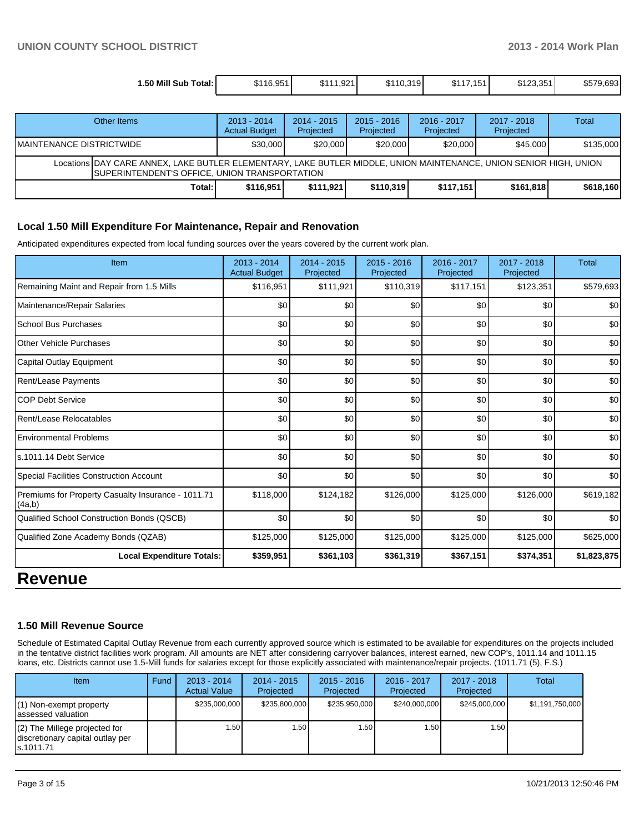| 1.50 Mill Sub Total: I | \$116.951 | 1.921<br><b>CAA</b><br>JD I<br>__ | \$110.319 | 1511<br>«D<br>10. | \$123,351 | \$579,693 |
|------------------------|-----------|-----------------------------------|-----------|-------------------|-----------|-----------|

|                           | Other Items                                                                                                                                                               | $2013 - 2014$<br><b>Actual Budget</b> | $2014 - 2015$<br>Projected | $2015 - 2016$<br>Projected | $2016 - 2017$<br>Projected | $2017 - 2018$<br>Projected | Total     |
|---------------------------|---------------------------------------------------------------------------------------------------------------------------------------------------------------------------|---------------------------------------|----------------------------|----------------------------|----------------------------|----------------------------|-----------|
| IMAINTENANCE DISTRICTWIDE |                                                                                                                                                                           | \$30,000                              | \$20,000                   | \$20,000                   | \$20,000                   | \$45,000                   | \$135,000 |
|                           | Locations DAY CARE ANNEX, LAKE BUTLER ELEMENTARY, LAKE BUTLER MIDDLE, UNION MAINTENANCE, UNION SENIOR HIGH, UNION<br><b>SUPERINTENDENT'S OFFICE, UNION TRANSPORTATION</b> |                                       |                            |                            |                            |                            |           |
|                           | Total: I                                                                                                                                                                  | \$116.951                             | \$111.921                  | \$110.319                  | \$117.151                  | \$161.818                  | \$618.160 |

#### **Local 1.50 Mill Expenditure For Maintenance, Repair and Renovation**

Anticipated expenditures expected from local funding sources over the years covered by the current work plan.

| Item                                                         | 2013 - 2014<br><b>Actual Budget</b> | 2014 - 2015<br>Projected | $2015 - 2016$<br>Projected | 2016 - 2017<br>Projected | 2017 - 2018<br>Projected | Total       |
|--------------------------------------------------------------|-------------------------------------|--------------------------|----------------------------|--------------------------|--------------------------|-------------|
| Remaining Maint and Repair from 1.5 Mills                    | \$116,951                           | \$111,921                | \$110,319                  | \$117,151                | \$123,351                | \$579,693   |
| Maintenance/Repair Salaries                                  | \$0                                 | \$0                      | \$0                        | \$0                      | \$0                      | \$0         |
| School Bus Purchases                                         | \$0                                 | \$0                      | \$0                        | \$0                      | \$0                      | \$0         |
| Other Vehicle Purchases                                      | \$0                                 | \$0                      | \$0                        | \$0                      | \$0                      | \$0         |
| Capital Outlay Equipment                                     | \$0                                 | \$0                      | \$0                        | \$0                      | \$0                      | \$0         |
| <b>Rent/Lease Payments</b>                                   | \$0                                 | \$0                      | \$0                        | \$0                      | \$0                      | \$0         |
| <b>COP Debt Service</b>                                      | \$0                                 | \$0                      | \$0                        | \$0                      | \$0                      | \$0         |
| Rent/Lease Relocatables                                      | \$0                                 | \$0                      | \$0                        | \$0                      | \$0                      | \$0         |
| <b>Environmental Problems</b>                                | \$0                                 | \$0                      | \$0                        | \$0                      | \$0                      | \$0         |
| s.1011.14 Debt Service                                       | \$0                                 | \$0                      | \$0                        | \$0                      | \$0                      | \$0         |
| <b>Special Facilities Construction Account</b>               | \$0                                 | \$0                      | \$0                        | \$0                      | \$0                      | \$0         |
| Premiums for Property Casualty Insurance - 1011.71<br>(4a,b) | \$118,000                           | \$124,182                | \$126,000                  | \$125,000                | \$126,000                | \$619,182   |
| Qualified School Construction Bonds (QSCB)                   | \$0                                 | \$0                      | \$0                        | \$0                      | \$0                      | \$0         |
| Qualified Zone Academy Bonds (QZAB)                          | \$125,000                           | \$125,000                | \$125,000                  | \$125,000                | \$125,000                | \$625,000   |
| <b>Local Expenditure Totals:</b>                             | \$359,951                           | \$361,103                | \$361,319                  | \$367,151                | \$374,351                | \$1,823,875 |
| <b>DAVANUE</b>                                               |                                     |                          |                            |                          |                          |             |

# **Revenue**

#### **1.50 Mill Revenue Source**

Schedule of Estimated Capital Outlay Revenue from each currently approved source which is estimated to be available for expenditures on the projects included in the tentative district facilities work program. All amounts are NET after considering carryover balances, interest earned, new COP's, 1011.14 and 1011.15 loans, etc. Districts cannot use 1.5-Mill funds for salaries except for those explicitly associated with maintenance/repair projects. (1011.71 (5), F.S.)

| Item                                                                              | Fund | $2013 - 2014$<br><b>Actual Value</b> | $2014 - 2015$<br>Projected | $2015 - 2016$<br>Projected | 2016 - 2017<br>Projected | $2017 - 2018$<br>Projected | Total           |
|-----------------------------------------------------------------------------------|------|--------------------------------------|----------------------------|----------------------------|--------------------------|----------------------------|-----------------|
| $(1)$ Non-exempt property<br>lassessed valuation                                  |      | \$235,000,000                        | \$235,800,000              | \$235,950,000              | \$240,000,000            | \$245,000,000              | \$1,191,750,000 |
| $(2)$ The Millege projected for<br>discretionary capital outlay per<br>ls.1011.71 |      | 1.50                                 | .501                       | 1.50                       | 1.50 l                   | 1.50                       |                 |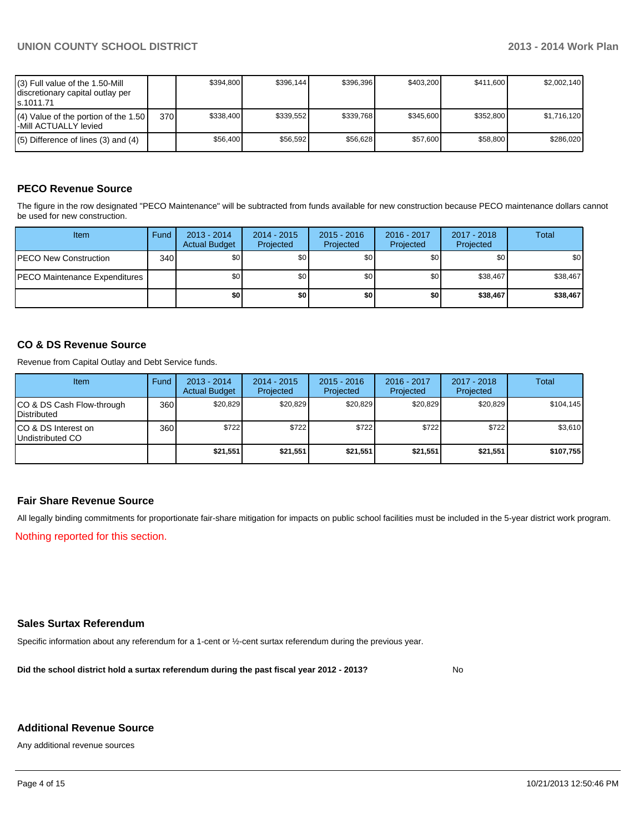| (3) Full value of the 1.50-Mill<br>I discretionary capital outlay per<br>ls.1011.71 |      | \$394.800 | \$396,144 | \$396.396 | \$403.200 | \$411,600 | \$2,002,140 |
|-------------------------------------------------------------------------------------|------|-----------|-----------|-----------|-----------|-----------|-------------|
| $(4)$ Value of the portion of the 1.50<br>-Mill ACTUALLY levied                     | 370I | \$338,400 | \$339.552 | \$339.768 | \$345.600 | \$352.800 | \$1,716,120 |
| $(5)$ Difference of lines (3) and (4)                                               |      | \$56,400  | \$56,592  | \$56.628  | \$57,600  | \$58,800  | \$286.020   |

## **PECO Revenue Source**

The figure in the row designated "PECO Maintenance" will be subtracted from funds available for new construction because PECO maintenance dollars cannot be used for new construction.

| Item                                  | Fund  | $2013 - 2014$<br><b>Actual Budget</b> | $2014 - 2015$<br>Projected | $2015 - 2016$<br>Projected | 2016 - 2017<br>Projected | 2017 - 2018<br>Projected | Total    |
|---------------------------------------|-------|---------------------------------------|----------------------------|----------------------------|--------------------------|--------------------------|----------|
| <b>PECO New Construction</b>          | 340 l | \$0                                   | \$0                        | \$0 <sub>1</sub>           | \$0 <sub>0</sub>         | \$0                      | \$0      |
| <b>IPECO Maintenance Expenditures</b> |       | \$0 <sub>1</sub>                      | \$0                        | \$0                        | \$0 <sub>0</sub>         | \$38,467                 | \$38,467 |
|                                       |       | \$0                                   | \$0                        | \$0                        | \$0                      | \$38,467                 | \$38,467 |

#### **CO & DS Revenue Source**

Revenue from Capital Outlay and Debt Service funds.

| <b>Item</b>                                        | Fund | $2013 - 2014$<br><b>Actual Budget</b> | $2014 - 2015$<br>Projected | $2015 - 2016$<br>Projected | $2016 - 2017$<br>Projected | $2017 - 2018$<br>Projected | Total     |
|----------------------------------------------------|------|---------------------------------------|----------------------------|----------------------------|----------------------------|----------------------------|-----------|
| ICO & DS Cash Flow-through<br><b>I</b> Distributed | 360  | \$20.829                              | \$20,829                   | \$20.829                   | \$20.829                   | \$20,829                   | \$104,145 |
| ICO & DS Interest on<br>Undistributed CO           | 360  | \$722                                 | \$722                      | \$722                      | \$722                      | \$722                      | \$3,610   |
|                                                    |      | \$21,551                              | \$21,551                   | \$21,551                   | \$21.551                   | \$21,551                   | \$107,755 |

#### **Fair Share Revenue Source**

All legally binding commitments for proportionate fair-share mitigation for impacts on public school facilities must be included in the 5-year district work program.

Nothing reported for this section.

#### **Sales Surtax Referendum**

Specific information about any referendum for a 1-cent or ½-cent surtax referendum during the previous year.

**Did the school district hold a surtax referendum during the past fiscal year 2012 - 2013?**

No

#### **Additional Revenue Source**

Any additional revenue sources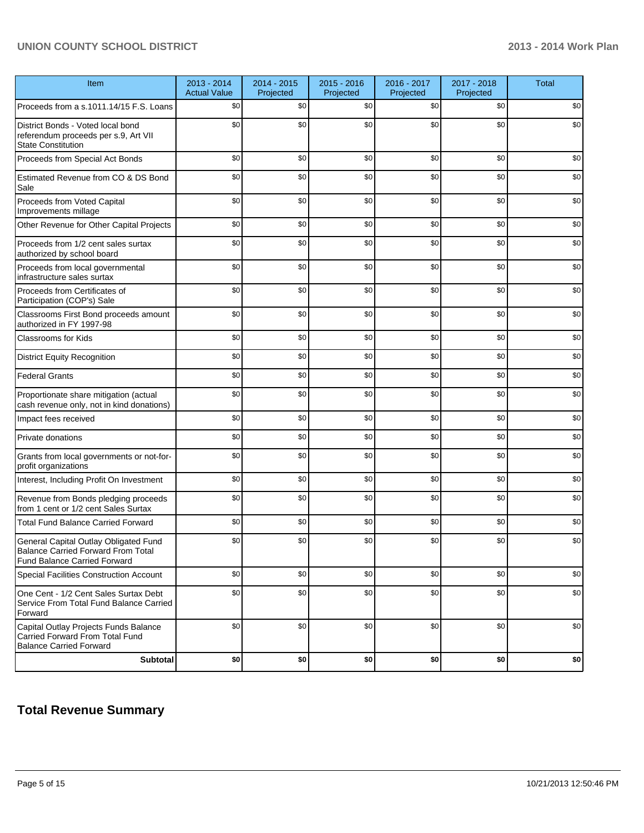## **UNION COUNTY SCHOOL DISTRICT 2013 - 2014 Work Plan**

| Item                                                                                                                      | 2013 - 2014<br><b>Actual Value</b> | 2014 - 2015<br>Projected | 2015 - 2016<br>Projected | 2016 - 2017<br>Projected | 2017 - 2018<br>Projected | <b>Total</b> |
|---------------------------------------------------------------------------------------------------------------------------|------------------------------------|--------------------------|--------------------------|--------------------------|--------------------------|--------------|
| Proceeds from a s.1011.14/15 F.S. Loans                                                                                   | \$0                                | \$0                      | \$0                      | \$0                      | \$0                      | \$0          |
| District Bonds - Voted local bond<br>referendum proceeds per s.9, Art VII<br><b>State Constitution</b>                    | \$0                                | \$0                      | \$0                      | \$0                      | \$0                      | \$0          |
| Proceeds from Special Act Bonds                                                                                           | \$0                                | \$0                      | \$0                      | \$0                      | \$0                      | \$0          |
| Estimated Revenue from CO & DS Bond<br>Sale                                                                               | \$0                                | \$0                      | \$0                      | \$0                      | \$0                      | \$0          |
| Proceeds from Voted Capital<br>Improvements millage                                                                       | \$0                                | \$0                      | \$0                      | \$0                      | \$0                      | \$0          |
| Other Revenue for Other Capital Projects                                                                                  | \$0                                | \$0                      | \$0                      | \$0                      | \$0                      | \$0          |
| Proceeds from 1/2 cent sales surtax<br>authorized by school board                                                         | \$0                                | \$0                      | \$0                      | \$0                      | \$0                      | \$0          |
| Proceeds from local governmental<br>infrastructure sales surtax                                                           | \$0                                | \$0                      | \$0                      | \$0                      | \$0                      | \$0          |
| Proceeds from Certificates of<br>Participation (COP's) Sale                                                               | \$0                                | \$0                      | \$0                      | \$0                      | \$0                      | \$0          |
| Classrooms First Bond proceeds amount<br>authorized in FY 1997-98                                                         | \$0                                | \$0                      | \$0                      | \$0                      | \$0                      | \$0          |
| <b>Classrooms for Kids</b>                                                                                                | \$0                                | \$0                      | \$0                      | \$0                      | \$0                      | \$0          |
| <b>District Equity Recognition</b>                                                                                        | \$0                                | \$0                      | \$0                      | \$0                      | \$0                      | \$0          |
| <b>Federal Grants</b>                                                                                                     | \$0                                | \$0                      | \$0                      | \$0                      | \$0                      | \$0          |
| Proportionate share mitigation (actual<br>cash revenue only, not in kind donations)                                       | \$0                                | \$0                      | \$0                      | \$0                      | \$0                      | \$0          |
| Impact fees received                                                                                                      | \$0                                | \$0                      | \$0                      | \$0                      | \$0                      | \$0          |
| Private donations                                                                                                         | \$0                                | \$0                      | \$0                      | \$0                      | \$0                      | \$0          |
| Grants from local governments or not-for-<br>profit organizations                                                         | \$0                                | \$0                      | \$0                      | \$0                      | \$0                      | \$0          |
| Interest, Including Profit On Investment                                                                                  | \$0                                | \$0                      | \$0                      | \$0                      | \$0                      | \$0          |
| Revenue from Bonds pledging proceeds<br>from 1 cent or 1/2 cent Sales Surtax                                              | \$0                                | \$0                      | \$0                      | \$0                      | \$0                      | \$0          |
| <b>Total Fund Balance Carried Forward</b>                                                                                 | \$0                                | \$0                      | \$0                      | \$0                      | \$0                      | \$0          |
| General Capital Outlay Obligated Fund<br><b>Balance Carried Forward From Total</b><br><b>Fund Balance Carried Forward</b> | \$0                                | \$0                      | \$0                      | \$0                      | \$0                      | \$0          |
| <b>Special Facilities Construction Account</b>                                                                            | \$0                                | \$0                      | \$0                      | \$0                      | \$0                      | \$0          |
| One Cent - 1/2 Cent Sales Surtax Debt<br>Service From Total Fund Balance Carried<br>Forward                               | \$0                                | \$0                      | \$0                      | \$0                      | \$0                      | \$0          |
| Capital Outlay Projects Funds Balance<br>Carried Forward From Total Fund<br><b>Balance Carried Forward</b>                | \$0                                | \$0                      | \$0                      | \$0                      | \$0                      | \$0          |
| <b>Subtotal</b>                                                                                                           | \$0                                | \$0                      | \$0                      | \$0                      | \$0                      | $$0\,$       |

## **Total Revenue Summary**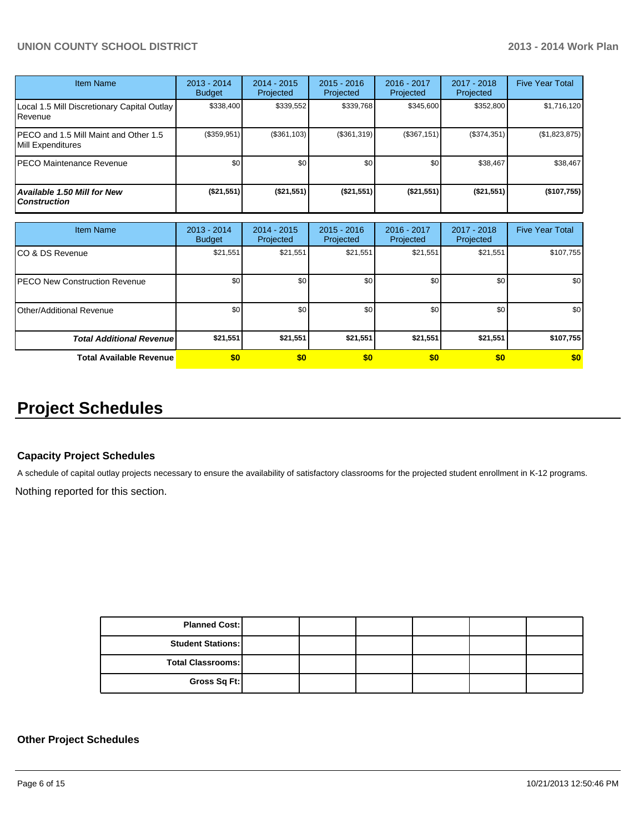## **UNION COUNTY SCHOOL DISTRICT 2013 - 2014 Work Plan**

| <b>Item Name</b>                                           | $2013 - 2014$<br><b>Budget</b> | $2014 - 2015$<br>Projected | $2015 - 2016$<br>Projected | $2016 - 2017$<br>Projected | $2017 - 2018$<br>Projected | <b>Five Year Total</b> |
|------------------------------------------------------------|--------------------------------|----------------------------|----------------------------|----------------------------|----------------------------|------------------------|
| Local 1.5 Mill Discretionary Capital Outlay<br>Revenue     | \$338,400                      | \$339,552                  | \$339,768                  | \$345,600                  | \$352,800                  | \$1,716,120            |
| PECO and 1.5 Mill Maint and Other 1.5<br>Mill Expenditures | (\$359,951)                    | (\$361,103)                | (\$361,319)                | (\$367,151)                | (\$374,351)                | (\$1,823,875)          |
| IPECO Maintenance Revenue                                  | \$0                            | \$0                        | \$0                        | \$0                        | \$38,467                   | \$38,467               |
| Available 1.50 Mill for New<br><b>Construction</b>         | (\$21,551)                     | (\$21,551)                 | (\$21,551)                 | (\$21,551)                 | (\$21,551)                 | (\$107,755)            |

| <b>Item Name</b>                      | $2013 - 2014$<br><b>Budget</b> | $2014 - 2015$<br>Projected | $2015 - 2016$<br>Projected | 2016 - 2017<br>Projected | 2017 - 2018<br>Projected | <b>Five Year Total</b> |
|---------------------------------------|--------------------------------|----------------------------|----------------------------|--------------------------|--------------------------|------------------------|
| CO & DS Revenue                       | \$21,551                       | \$21,551                   | \$21,551                   | \$21,551                 | \$21,551                 | \$107,755              |
| <b>IPECO New Construction Revenue</b> | \$0                            | \$0                        | \$0                        | \$0                      | \$0                      | \$0                    |
| Other/Additional Revenue              | \$0                            | \$0                        | \$0                        | \$0                      | \$0                      | \$0                    |
| <b>Total Additional Revenuel</b>      | \$21,551                       | \$21,551                   | \$21,551                   | \$21,551                 | \$21,551                 | \$107,755              |
| <b>Total Available Revenue</b>        | \$0                            | \$0                        | \$0                        | \$0                      | \$0                      | \$0                    |

# **Project Schedules**

#### **Capacity Project Schedules**

A schedule of capital outlay projects necessary to ensure the availability of satisfactory classrooms for the projected student enrollment in K-12 programs.

Nothing reported for this section.

| <b>Planned Cost:</b>     |  |  |  |
|--------------------------|--|--|--|
| <b>Student Stations:</b> |  |  |  |
| <b>Total Classrooms:</b> |  |  |  |
| Gross Sq Ft:             |  |  |  |

#### **Other Project Schedules**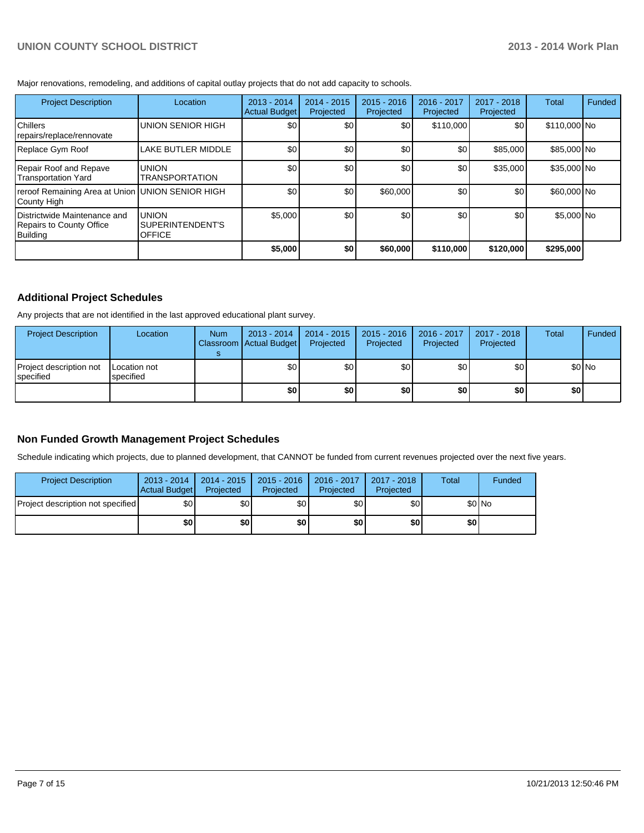Major renovations, remodeling, and additions of capital outlay projects that do not add capacity to schools.

| <b>Project Description</b>                                           | Location                                          | $2013 - 2014$<br>Actual Budget | $2014 - 2015$<br>Projected | $2015 - 2016$<br>Projected | 2016 - 2017<br>Projected | $2017 - 2018$<br>Projected | Total        | Funded |
|----------------------------------------------------------------------|---------------------------------------------------|--------------------------------|----------------------------|----------------------------|--------------------------|----------------------------|--------------|--------|
| <b>Chillers</b><br>repairs/replace/rennovate                         | <b>UNION SENIOR HIGH</b>                          | \$0 <sub>0</sub>               | \$0                        | \$0                        | \$110,000                | \$0                        | \$110,000 No |        |
| Replace Gym Roof                                                     | LAKE BUTLER MIDDLE                                | \$0                            | \$0                        | \$0                        | \$0                      | \$85,000                   | \$85,000 No  |        |
| Repair Roof and Repave<br>Transportation Yard                        | <b>UNION</b><br><b>TRANSPORTATION</b>             | \$0                            | \$0                        | \$0                        | \$0                      | \$35,000                   | \$35,000 No  |        |
| reroof Remaining Area at Union UNION SENIOR HIGH<br>County High      |                                                   | \$0                            | \$0                        | \$60,000                   | \$0                      | \$0                        | \$60,000 No  |        |
| Districtwide Maintenance and<br>Repairs to County Office<br>Building | <b>UNION</b><br>SUPERINTENDENT'S<br><b>OFFICE</b> | \$5,000                        | \$0                        | \$0                        | \$0                      | \$0                        | \$5,000 No   |        |
|                                                                      |                                                   | \$5,000                        | \$0                        | \$60,000                   | \$110,000                | \$120,000                  | \$295,000    |        |

## **Additional Project Schedules**

Any projects that are not identified in the last approved educational plant survey.

| <b>Project Description</b>                    | Location                  | <b>Num</b> | $2013 - 2014$<br>Classroom Actual Budget | 2014 - 2015<br>Projected | $2015 - 2016$<br>Projected | 2016 - 2017<br>Projected | 2017 - 2018<br>Projected | Total | <b>Funded</b> |
|-----------------------------------------------|---------------------------|------------|------------------------------------------|--------------------------|----------------------------|--------------------------|--------------------------|-------|---------------|
| Project description not<br><b>I</b> specified | Location not<br>specified |            | \$0                                      | \$0                      | \$0                        | \$0                      | \$0                      |       | \$0 No        |
|                                               |                           |            | \$0                                      | \$0                      | \$0                        | \$0                      | \$0                      | \$0 I |               |

## **Non Funded Growth Management Project Schedules**

Schedule indicating which projects, due to planned development, that CANNOT be funded from current revenues projected over the next five years.

| <b>Project Description</b>        | $2013 - 2014$<br>Actual Budget | $2014 - 2015$<br>Projected | $2015 - 2016$<br>Projected | 2016 - 2017<br>Projected | 2017 - 2018<br>Projected | Total | Funded |
|-----------------------------------|--------------------------------|----------------------------|----------------------------|--------------------------|--------------------------|-------|--------|
| Project description not specified | \$0                            | \$0                        | \$0 <sub>1</sub>           | \$0 <sub>l</sub>         | \$0                      |       | \$0 No |
|                                   | \$0                            | \$0                        | \$0                        | \$0                      | \$0                      | \$0   |        |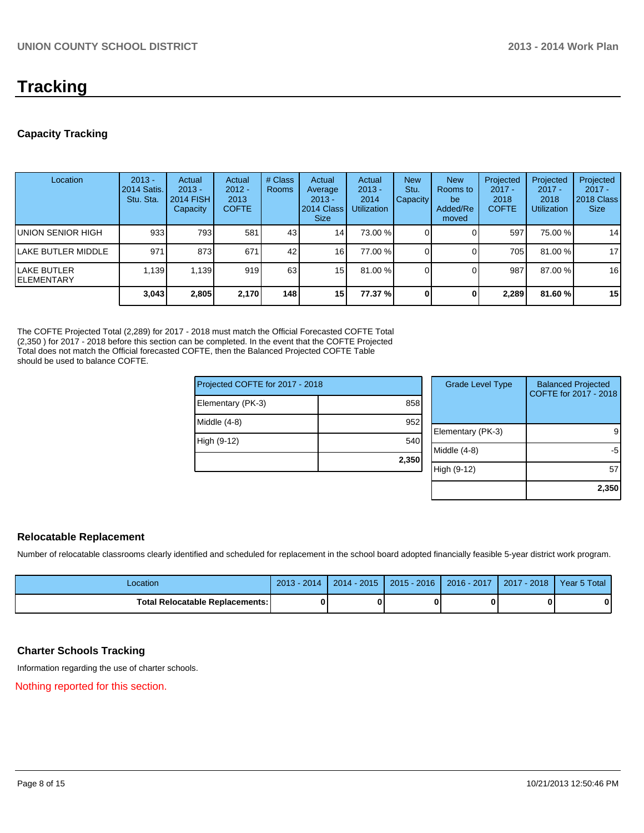# **Tracking**

## **Capacity Tracking**

| Location                           | $2013 -$<br>2014 Satis.<br>Stu. Sta. | Actual<br>$2013 -$<br><b>2014 FISH</b><br>Capacity | Actual<br>$2012 -$<br>2013<br><b>COFTE</b> | # Class<br><b>Rooms</b> | Actual<br>Average<br>$2013 -$<br>2014 Class<br><b>Size</b> | Actual<br>$2013 -$<br>2014<br><b>Utilization</b> | <b>New</b><br>Stu.<br>Capacity I | <b>New</b><br>Rooms to<br>be<br>Added/Re<br>moved | Projected<br>$2017 -$<br>2018<br><b>COFTE</b> | Projected<br>$2017 -$<br>2018<br><b>Utilization</b> | Projected<br>$2017 -$<br>2018 Class<br><b>Size</b> |
|------------------------------------|--------------------------------------|----------------------------------------------------|--------------------------------------------|-------------------------|------------------------------------------------------------|--------------------------------------------------|----------------------------------|---------------------------------------------------|-----------------------------------------------|-----------------------------------------------------|----------------------------------------------------|
| UNION SENIOR HIGH                  | 933                                  | 793I                                               | 581                                        | 43                      | 14                                                         | 73.00 %                                          |                                  |                                                   | 597                                           | 75.00 %                                             | 14                                                 |
| LAKE BUTLER MIDDLE                 | 971                                  | 8731                                               | 671                                        | 42                      | 16 <sup>1</sup>                                            | 77.00 %                                          |                                  |                                                   | 705 l                                         | 81.00%                                              | 17                                                 |
| llake butler<br><b>IELEMENTARY</b> | 1.139                                | 1.139                                              | 919                                        | 63                      | 15                                                         | 81.00 %                                          |                                  |                                                   | 987                                           | 87.00 %                                             | 16                                                 |
|                                    | 3,043                                | 2,805                                              | 2,170                                      | 148                     | 15 <sub>l</sub>                                            | 77.37 %l                                         |                                  |                                                   | 2,289                                         | 81.60%                                              | 15                                                 |

The COFTE Projected Total (2,289) for 2017 - 2018 must match the Official Forecasted COFTE Total (2,350 ) for 2017 - 2018 before this section can be completed. In the event that the COFTE Projected Total does not match the Official forecasted COFTE, then the Balanced Projected COFTE Table should be used to balance COFTE.

| Projected COFTE for 2017 - 2018 |       | <b>Grade Level Type</b> | <b>Balanced Projected</b><br>COFTE for 2017 - 2018 |
|---------------------------------|-------|-------------------------|----------------------------------------------------|
| Elementary (PK-3)               | 858   |                         |                                                    |
| Middle (4-8)                    | 952   |                         |                                                    |
|                                 |       | Elementary (PK-3)       | 9                                                  |
| High (9-12)                     | 540   |                         |                                                    |
|                                 |       | Middle (4-8)            | -5                                                 |
|                                 | 2,350 | High (9-12)             | 57                                                 |
|                                 |       |                         |                                                    |
|                                 |       |                         | 2,350                                              |

## **Relocatable Replacement**

Number of relocatable classrooms clearly identified and scheduled for replacement in the school board adopted financially feasible 5-year district work program.

| Location                          | 2014<br>$2013 -$ | $2014 - 2015$ | $2015 - 2016$ |   | 2016 - 2017   2017 - 2018 | Year 5 Total |
|-----------------------------------|------------------|---------------|---------------|---|---------------------------|--------------|
| Total Relocatable Replacements: I |                  |               |               | 0 |                           | 0            |

## **Charter Schools Tracking**

Information regarding the use of charter schools.

Nothing reported for this section.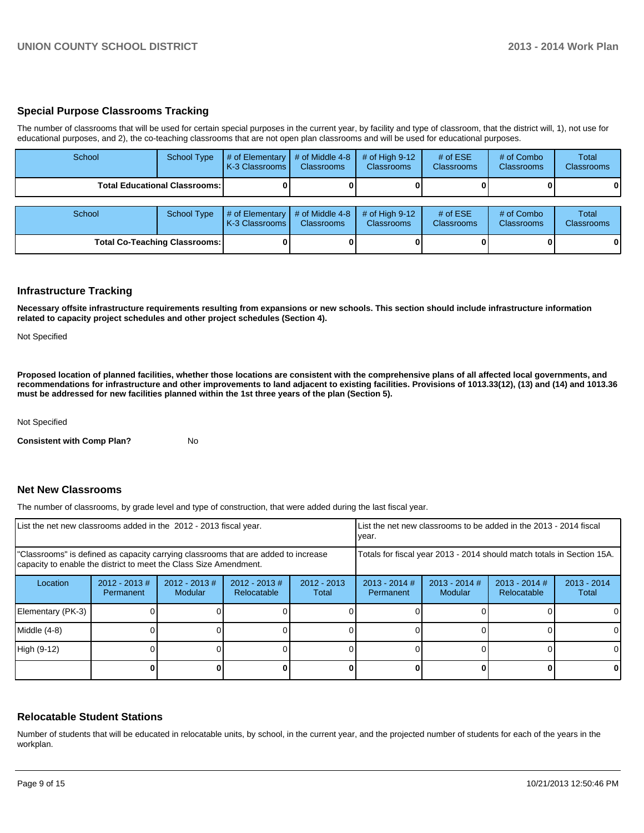## **Special Purpose Classrooms Tracking**

The number of classrooms that will be used for certain special purposes in the current year, by facility and type of classroom, that the district will, 1), not use for educational purposes, and 2), the co-teaching classrooms that are not open plan classrooms and will be used for educational purposes.

| School                               | <b>School Type</b>                     | $#$ of Elementary<br>K-3 Classrooms | # of Middle 4-8<br><b>Classrooms</b> | # of High $9-12$<br><b>Classrooms</b> | # of $ESE$<br>Classrooms | # of Combo<br><b>Classrooms</b> | Total<br><b>Classrooms</b> |
|--------------------------------------|----------------------------------------|-------------------------------------|--------------------------------------|---------------------------------------|--------------------------|---------------------------------|----------------------------|
|                                      | <b>Total Educational Classrooms: I</b> |                                     |                                      |                                       |                          |                                 | 01                         |
| School                               | <b>School Type</b>                     | # of Elementary<br>K-3 Classrooms   | # of Middle 4-8<br><b>Classrooms</b> | # of High $9-12$<br><b>Classrooms</b> | # of $ESE$<br>Classrooms | # of Combo<br><b>Classrooms</b> | Total<br><b>Classrooms</b> |
| <b>Total Co-Teaching Classrooms:</b> |                                        |                                     |                                      |                                       |                          |                                 | 01                         |

#### **Infrastructure Tracking**

**Necessary offsite infrastructure requirements resulting from expansions or new schools. This section should include infrastructure information related to capacity project schedules and other project schedules (Section 4).**

Not Specified

**Proposed location of planned facilities, whether those locations are consistent with the comprehensive plans of all affected local governments, and recommendations for infrastructure and other improvements to land adjacent to existing facilities. Provisions of 1013.33(12), (13) and (14) and 1013.36 must be addressed for new facilities planned within the 1st three years of the plan (Section 5).**

Not Specified

**Consistent with Comp Plan?** No

#### **Net New Classrooms**

The number of classrooms, by grade level and type of construction, that were added during the last fiscal year.

| List the net new classrooms added in the 2012 - 2013 fiscal year.                                                                                       |                               |                            |                                | List the net new classrooms to be added in the 2013 - 2014 fiscal<br>Ivear. |                                                                                                                      |  |  |          |
|---------------------------------------------------------------------------------------------------------------------------------------------------------|-------------------------------|----------------------------|--------------------------------|-----------------------------------------------------------------------------|----------------------------------------------------------------------------------------------------------------------|--|--|----------|
| "Classrooms" is defined as capacity carrying classrooms that are added to increase<br>capacity to enable the district to meet the Class Size Amendment. |                               |                            |                                |                                                                             | Totals for fiscal year 2013 - 2014 should match totals in Section 15A.                                               |  |  |          |
| Location                                                                                                                                                | $2012 - 2013 \#$<br>Permanent | $2012 - 2013$ #<br>Modular | $2012 - 2013$ #<br>Relocatable | $2012 - 2013$<br>Total                                                      | $2013 - 2014$ #<br>$2013 - 2014$ #<br>$2013 - 2014$ #<br>$2013 - 2014$<br><b>Modular</b><br>Relocatable<br>Permanent |  |  |          |
| Elementary (PK-3)                                                                                                                                       |                               |                            |                                |                                                                             |                                                                                                                      |  |  |          |
| Middle (4-8)                                                                                                                                            |                               |                            |                                |                                                                             |                                                                                                                      |  |  | $\Omega$ |
| High (9-12)                                                                                                                                             |                               |                            |                                |                                                                             |                                                                                                                      |  |  | $\Omega$ |
|                                                                                                                                                         |                               |                            |                                |                                                                             |                                                                                                                      |  |  | 0        |

#### **Relocatable Student Stations**

Number of students that will be educated in relocatable units, by school, in the current year, and the projected number of students for each of the years in the workplan.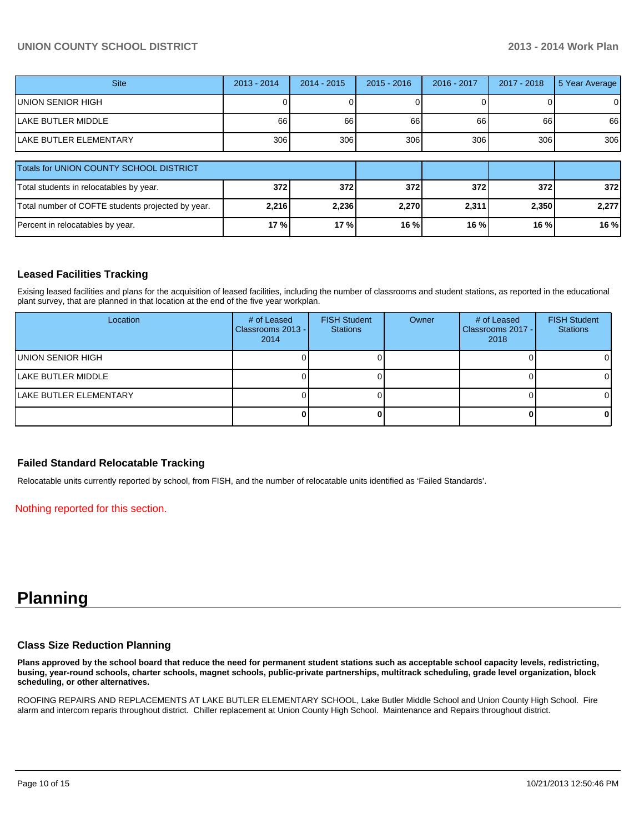#### **UNION COUNTY SCHOOL DISTRICT 2013 - 2014 Work Plan**

| <b>Site</b>                                       | $2013 - 2014$ | $2014 - 2015$ | $2015 - 2016$ | 2016 - 2017 | 2017 - 2018 | 5 Year Average |
|---------------------------------------------------|---------------|---------------|---------------|-------------|-------------|----------------|
| UNION SENIOR HIGH                                 |               |               |               |             |             | $\overline{0}$ |
| <b>LAKE BUTLER MIDDLE</b>                         | 66            | 66            | 66            | 66          | 66          | 66             |
| <b>LAKE BUTLER ELEMENTARY</b>                     | 306           | 306           | 306           | 306         | 306         | 306            |
|                                                   |               |               |               |             |             |                |
| <b>Totals for UNION COUNTY SCHOOL DISTRICT</b>    |               |               |               |             |             |                |
| Total students in relocatables by year.           | 372           | 372           | <b>3721</b>   | 372         | 372         | 372            |
| Total number of COFTE students projected by year. | 2,216         | 2,236         | 2,270         | 2,311       | 2,350       | 2,277          |
| Percent in relocatables by year.                  | 17 %          | 17%           | 16 %          | 16 %        | 16 %        | 16 %           |

## **Leased Facilities Tracking**

Exising leased facilities and plans for the acquisition of leased facilities, including the number of classrooms and student stations, as reported in the educational plant survey, that are planned in that location at the end of the five year workplan.

| Location                       | # of Leased<br>Classrooms 2013 -<br>2014 | <b>FISH Student</b><br><b>Stations</b> | Owner | # of Leased<br>Classrooms 2017 - I<br>2018 | <b>FISH Student</b><br><b>Stations</b> |
|--------------------------------|------------------------------------------|----------------------------------------|-------|--------------------------------------------|----------------------------------------|
| UNION SENIOR HIGH              |                                          |                                        |       |                                            | 01                                     |
| <b>ILAKE BUTLER MIDDLE</b>     |                                          |                                        |       |                                            | OΙ                                     |
| <b>ILAKE BUTLER ELEMENTARY</b> |                                          |                                        |       |                                            | OΙ                                     |
|                                |                                          |                                        |       |                                            | 01                                     |

#### **Failed Standard Relocatable Tracking**

Relocatable units currently reported by school, from FISH, and the number of relocatable units identified as 'Failed Standards'.

#### Nothing reported for this section.

# **Planning**

#### **Class Size Reduction Planning**

**Plans approved by the school board that reduce the need for permanent student stations such as acceptable school capacity levels, redistricting, busing, year-round schools, charter schools, magnet schools, public-private partnerships, multitrack scheduling, grade level organization, block scheduling, or other alternatives.**

ROOFING REPAIRS AND REPLACEMENTS AT LAKE BUTLER ELEMENTARY SCHOOL, Lake Butler Middle School and Union County High School. Fire alarm and intercom reparis throughout district. Chiller replacement at Union County High School. Maintenance and Repairs throughout district.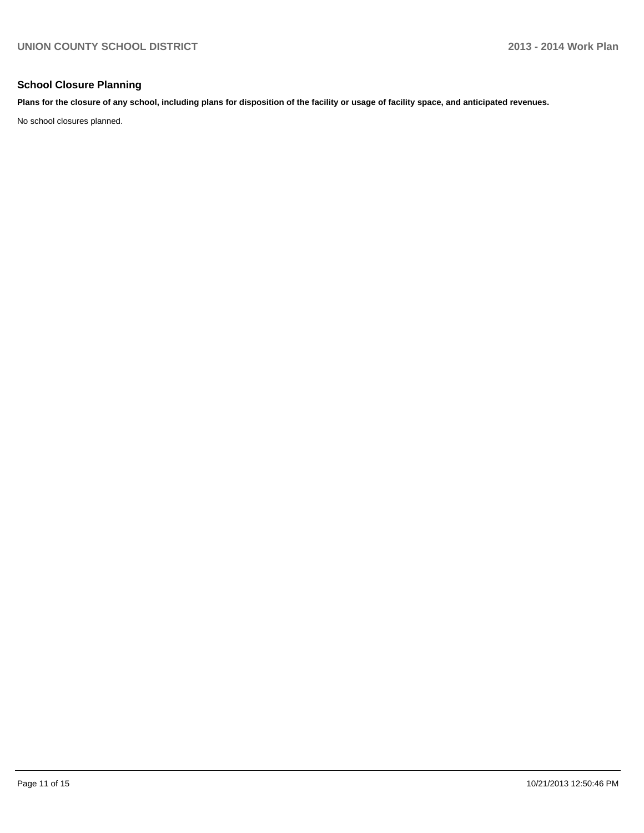## **School Closure Planning**

**Plans for the closure of any school, including plans for disposition of the facility or usage of facility space, and anticipated revenues.**

No school closures planned.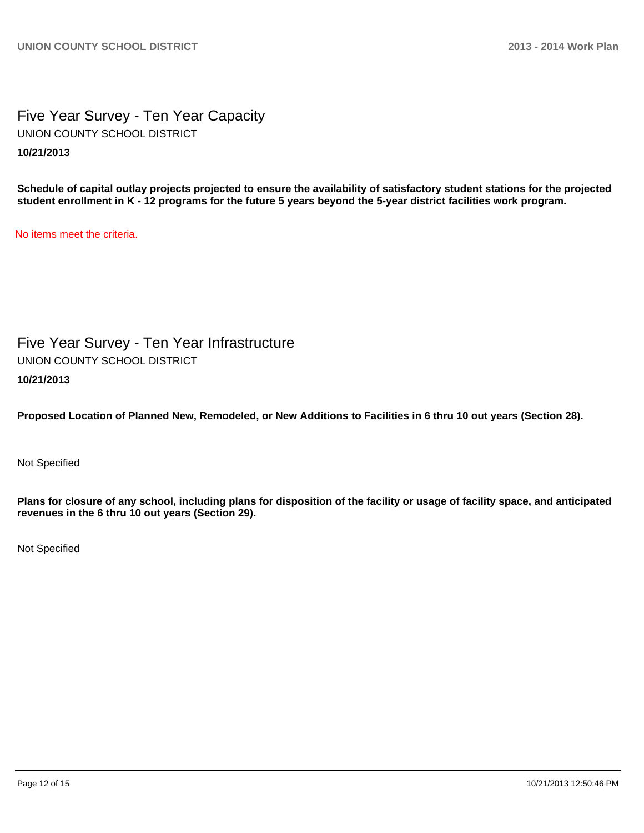Five Year Survey - Ten Year Capacity **10/21/2013** UNION COUNTY SCHOOL DISTRICT

**Schedule of capital outlay projects projected to ensure the availability of satisfactory student stations for the projected student enrollment in K - 12 programs for the future 5 years beyond the 5-year district facilities work program.**

No items meet the criteria.

Five Year Survey - Ten Year Infrastructure **10/21/2013** UNION COUNTY SCHOOL DISTRICT

**Proposed Location of Planned New, Remodeled, or New Additions to Facilities in 6 thru 10 out years (Section 28).**

Not Specified

**Plans for closure of any school, including plans for disposition of the facility or usage of facility space, and anticipated revenues in the 6 thru 10 out years (Section 29).**

Not Specified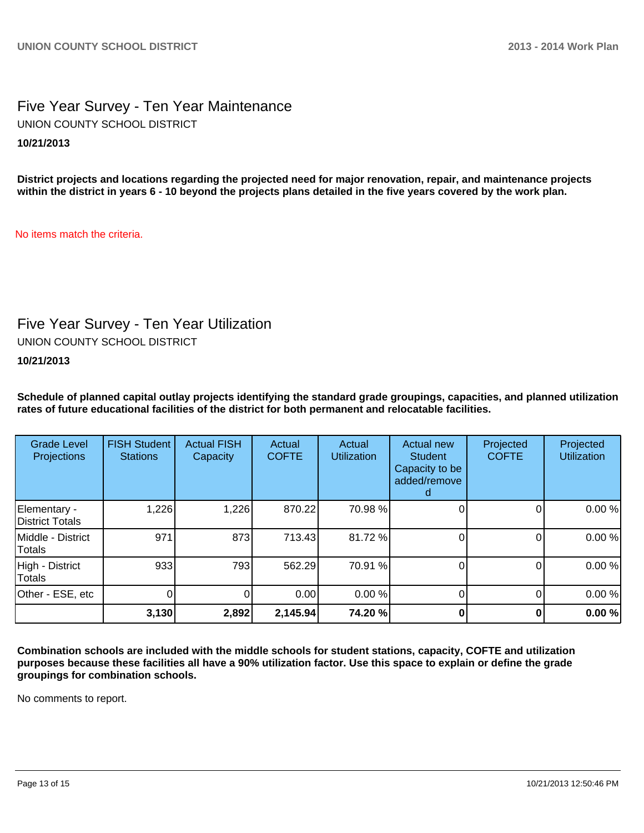## Five Year Survey - Ten Year Maintenance **10/21/2013** UNION COUNTY SCHOOL DISTRICT

**District projects and locations regarding the projected need for major renovation, repair, and maintenance projects within the district in years 6 - 10 beyond the projects plans detailed in the five years covered by the work plan.**

No items match the criteria.

# Five Year Survey - Ten Year Utilization

UNION COUNTY SCHOOL DISTRICT

**10/21/2013**

**Schedule of planned capital outlay projects identifying the standard grade groupings, capacities, and planned utilization rates of future educational facilities of the district for both permanent and relocatable facilities.**

| <b>Grade Level</b><br><b>Projections</b> | <b>FISH Student</b><br><b>Stations</b> | <b>Actual FISH</b><br>Capacity | Actual<br><b>COFTE</b> | Actual<br><b>Utilization</b> | Actual new<br><b>Student</b><br>Capacity to be<br>added/remove | Projected<br><b>COFTE</b> | Projected<br><b>Utilization</b> |
|------------------------------------------|----------------------------------------|--------------------------------|------------------------|------------------------------|----------------------------------------------------------------|---------------------------|---------------------------------|
| Elementary -<br>District Totals          | 1,226                                  | 1,226                          | 870.22                 | 70.98 %                      |                                                                |                           | 0.00%                           |
| Middle - District<br>Totals              | 971                                    | 873                            | 713.43                 | 81.72%                       |                                                                |                           | 0.00%                           |
| High - District<br>Totals                | 933                                    | 793                            | 562.29                 | 70.91 %                      |                                                                | O                         | 0.00%                           |
| Other - ESE, etc                         |                                        |                                | 0.00                   | 0.00 %                       |                                                                | 0                         | 0.00%                           |
|                                          | 3,130                                  | 2,892                          | 2,145.94               | 74.20 %                      |                                                                |                           | 0.00%                           |

**Combination schools are included with the middle schools for student stations, capacity, COFTE and utilization purposes because these facilities all have a 90% utilization factor. Use this space to explain or define the grade groupings for combination schools.**

No comments to report.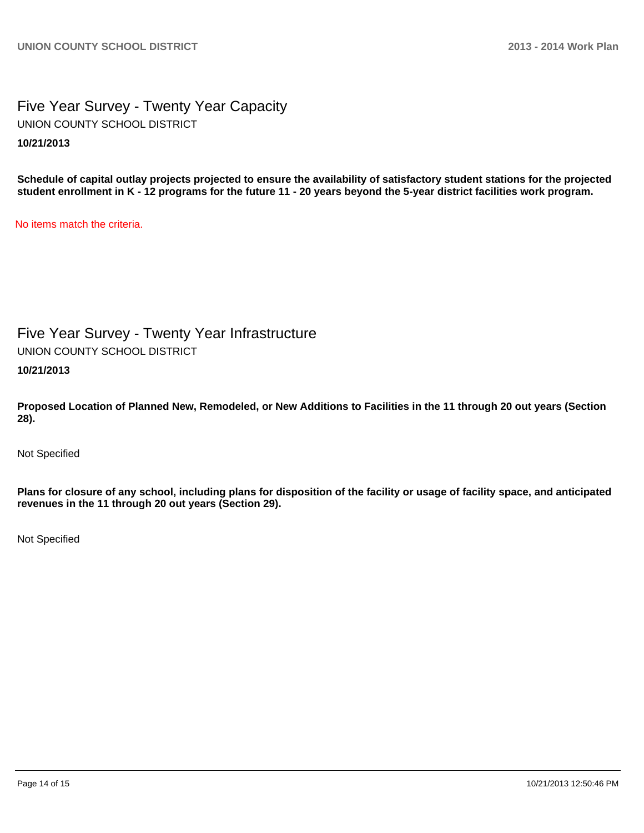## Five Year Survey - Twenty Year Capacity **10/21/2013** UNION COUNTY SCHOOL DISTRICT

**Schedule of capital outlay projects projected to ensure the availability of satisfactory student stations for the projected student enrollment in K - 12 programs for the future 11 - 20 years beyond the 5-year district facilities work program.**

No items match the criteria.

Five Year Survey - Twenty Year Infrastructure UNION COUNTY SCHOOL DISTRICT

**10/21/2013**

**Proposed Location of Planned New, Remodeled, or New Additions to Facilities in the 11 through 20 out years (Section 28).**

Not Specified

**Plans for closure of any school, including plans for disposition of the facility or usage of facility space, and anticipated revenues in the 11 through 20 out years (Section 29).**

Not Specified